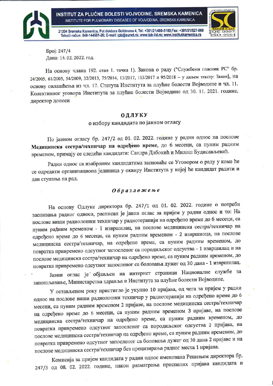21204 Sremska Kamenica, Put doktora Goldmana 4, Tel: +381/21/480-5100;Fax: +381/21/527-960 Tekući račun: 840-144661-26; E-mail: ipb@eunet.rs; www.ipb-ild.rs; www.institutkamenica.rs



*<u>Bpoj: 247/4</u>* Дана: 14.02.2022. год.

На основу члана 192. став 1. тачка 1). Закона о раду ("Службени гласник РС" бр. 24/2005, 61/2005, 54/2009, 32/2013, 75/2014, 13/2017, 113/2017 и 95/2018 - у даљем тексту: Закон), на основу овлашћења из чл. 17. Статута Института за плућне болести Војводине и чл. 11. Колективног уговора Института за плућне болести Војводине од 30. 11. 2021. године, директор доноси

## ОДЛУКУ

о избору кандидата по јавном огласу

По јавном огласу бр. 247/2 од 01. 02. 2022. године у радни однос на послове Медицинска сестра/техничар на одређено време, до 6 месеци, са пуним радним временом, примају се следећи кандидати: Сандра Длбокић и Милош Будисављевић.

Радни однос са изабраним кандидатима засноваће се Уговором о раду у коме ће се одредити организациона јединица у оквиру Института у којој ће кандидат радити и дан ступања на рад.

## Образложење

На основу Одлуке директора бр. 247/1 од 01. 02. 2022. године о потреби заснивања радног односа, расписан је јавни оглас за пријем у радни однос и то: На послове виши радиолошки техничар у радиотерапији на одређено време до 6 месеци, са пуним радним временом - 1 извршилац, на послове медицинска сестра/техничар на одређено време до 6 месеци, са пуним радним временом - 2 извршиоца, на послове медицинска сестра/техничар, на одређено време, са пуним радним временом, до повратка привремено одсутног запосленог са породиљског одсуства - 1 извршилац и на послове медицинска сестра/техничар на одређено време, са пуним радним временом, до повратка привремено одсутног запосленог са боловања дужег од 30 дана - 1 извршилац.

Јавни оглас је објављен на интернет страници Националне службе за запошљавање, Министарства здравља и Института за плућне болести Војводине.

У остављеном року пристигло је укупно 10 пријава, од чега за пријем у радни однос на послове виши радиолошки техничар у радиотерапији на одређено време до 6 месеци, са пуним радним временом 2 пријаве, на послове медицинска сестра/техничар на одређено време до 6 месеци, са пуним радним временом 3 пријаве, на послове медицинска сестра/техничар на одређено време, са пуним радним временом, до повратка привремено одсутног запосленог са породиљског одсуства 2 пријава, на послове медицинска сестра/техничар на одређено време, са пуним радним временом, до повратка привремено одсутног запосленог са боловања дужег од 30 дана 2 пријаве и на послове медицинска сестра/техничар без прецизирања радног места 1 пријава.

Комисија за пријем кандидата у радни однос именована Решењем директора бр. 247/3 од 08. 02. 2022. године, након разматрања приспелих пријава кандидата и